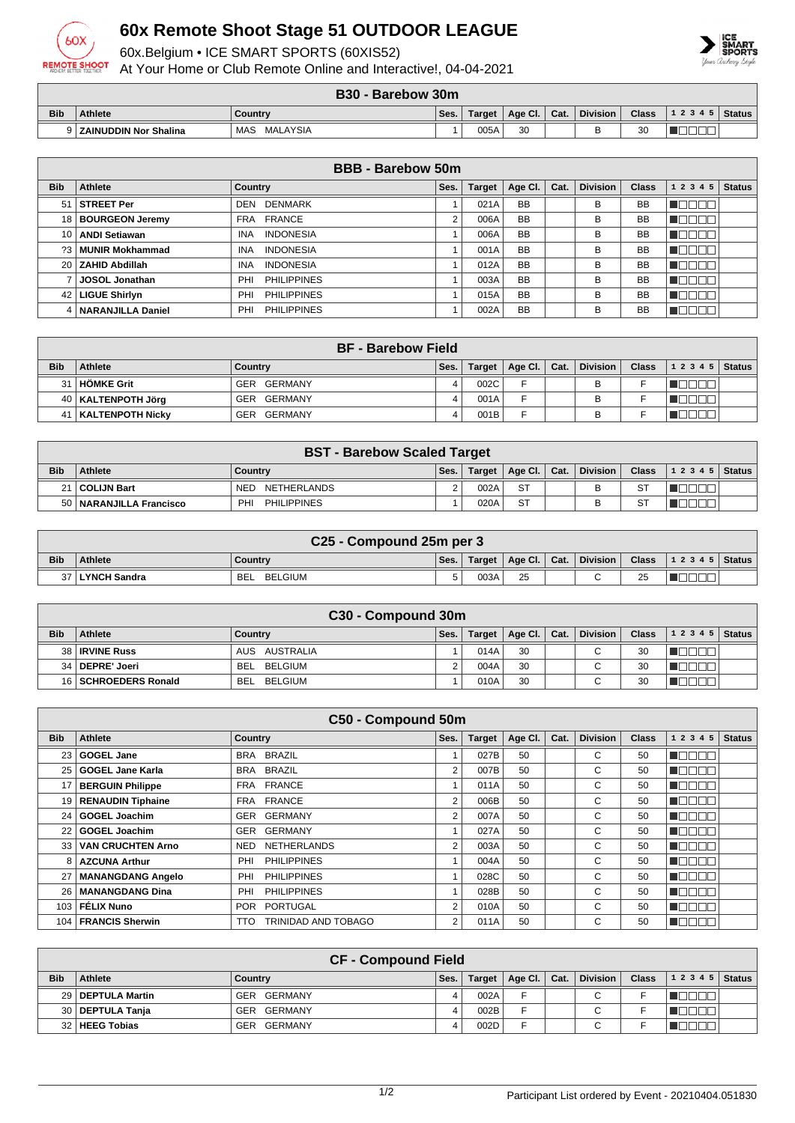

## **60x Remote Shoot Stage 51 OUTDOOR LEAGUE**

60x.Belgium • ICE SMART SPORTS (60XIS52)

At Your Home or Club Remote Online and Interactive!, 04-04-2021



**B30 - Barebow 30m**

|            | <b>DJU - DAICUOW JUIL</b>    |                        |      |        |         |      |                 |              |           |               |  |  |
|------------|------------------------------|------------------------|------|--------|---------|------|-----------------|--------------|-----------|---------------|--|--|
| <b>Bib</b> | <b>Athlete</b>               | Country                | Ses. | Target | Age Cl. | Cat. | <b>Division</b> | <b>Class</b> | 1 2 3 4 5 | <b>Status</b> |  |  |
|            | <b>ZAINUDDIN Nor Shalina</b> | <b>MALAYSIA</b><br>MAS |      | 005A   | 30      |      |                 | ঽ∩<br>υu     |           |               |  |  |

| <b>BBB</b> - Barebow 50m |                       |                                |      |               |           |      |                 |              |           |               |  |
|--------------------------|-----------------------|--------------------------------|------|---------------|-----------|------|-----------------|--------------|-----------|---------------|--|
| <b>Bib</b>               | Athlete               | Country                        | Ses. | <b>Target</b> | Age CI.   | Cat. | <b>Division</b> | <b>Class</b> | 1 2 3 4 5 | <b>Status</b> |  |
| 51                       | STREET Per            | <b>DENMARK</b><br>DEN          |      | 021A          | <b>BB</b> |      | B               | <b>BB</b>    |           |               |  |
|                          | 18   BOURGEON Jeremy  | FRANCE<br>FRA                  | 2    | 006A          | <b>BB</b> |      | В               | <b>BB</b>    |           |               |  |
|                          | 10   ANDI Setiawan    | <b>INDONESIA</b><br><b>INA</b> |      | 006A          | <b>BB</b> |      | B               | <b>BB</b>    |           |               |  |
|                          | ?3   MUNIR Mokhammad  | <b>INDONESIA</b><br><b>INA</b> |      | 001A          | <b>BB</b> |      | В               | <b>BB</b>    |           |               |  |
|                          | 20 ZAHID Abdillah     | <b>INDONESIA</b><br><b>INA</b> |      | 012A          | <b>BB</b> |      | В               | <b>BB</b>    | - III.    |               |  |
|                          | JOSOL Jonathan        | <b>PHILIPPINES</b><br>PHI      |      | 003A          | <b>BB</b> |      | B               | <b>BB</b>    |           |               |  |
|                          | 42   LIGUE Shirlyn    | <b>PHILIPPINES</b><br>PHI      |      | 015A          | <b>BB</b> |      | В               | <b>BB</b>    | H.        |               |  |
|                          | 4   NARANJILLA Daniel | <b>PHILIPPINES</b><br>PHI      |      | 002A          | <b>BB</b> |      | B               | <b>BB</b>    |           |               |  |

| <b>BF</b> - Barebow Field |                       |             |      |        |         |      |                 |              |                        |  |
|---------------------------|-----------------------|-------------|------|--------|---------|------|-----------------|--------------|------------------------|--|
| <b>Bib</b>                | <b>Athlete</b>        | Country     | Ses. | Target | Age Cl. | Cat. | <b>Division</b> | <b>Class</b> | $1\ 2\ 3\ 4\ 5$ Status |  |
| 31                        | <b>HÖMKE Grit</b>     | GER GERMANY | 4    | 002C   | Е       |      | B               |              |                        |  |
|                           | 40   KALTENPOTH Jörg  | GER GERMANY |      | 001A   |         |      |                 |              |                        |  |
|                           | 41   KALTENPOTH Nicky | GER GERMANY |      | 001B   | -       |      | В               |              |                        |  |

| <b>BST - Barebow Scaled Target</b> |                           |                           |      |        |              |  |                 |              |                |  |  |
|------------------------------------|---------------------------|---------------------------|------|--------|--------------|--|-----------------|--------------|----------------|--|--|
| <b>Bib</b>                         | <b>Athlete</b>            | Country                   | Ses. | Target | Age Cl. Cat. |  | <b>Division</b> | <b>Class</b> | $12345$ Status |  |  |
|                                    | 21   COLIJN Bart          | NETHERLANDS<br><b>NED</b> |      | 002A   | -ST          |  | в               | <b>ST</b>    |                |  |  |
|                                    | 50   NARANJILLA Francisco | <b>PHILIPPINES</b><br>PHI |      | 020A   | <b>ST</b>    |  |                 | ST           |                |  |  |

|            | C <sub>25</sub> - Compound 25m per 3 |                       |      |        |                |  |          |          |                                |  |  |  |
|------------|--------------------------------------|-----------------------|------|--------|----------------|--|----------|----------|--------------------------------|--|--|--|
| <b>Bib</b> | <b>Athlete</b>                       | Country               | Ses. | Target | Age Cl.   Cat. |  | Division |          | Class $\vert$ 1 2 3 4 5 Status |  |  |  |
|            | LYNCH Sandra                         | BELGIUM<br><b>BEL</b> |      | 003A   | 25             |  |          | つに<br>ںے |                                |  |  |  |

| C <sub>30</sub> - Compound 30m |                         |                       |      |        |                      |  |                          |              |                |  |  |
|--------------------------------|-------------------------|-----------------------|------|--------|----------------------|--|--------------------------|--------------|----------------|--|--|
| <b>Bib</b>                     | <b>Athlete</b>          | Country               | Ses. | Target | Age Cl. $\vert$ Cat. |  | <b>Division</b>          | <b>Class</b> | $12345$ Status |  |  |
|                                | 38   <b>IRVINE Russ</b> | AUS AUSTRALIA         |      | 014A   | 30                   |  | $\sim$                   | 30           |                |  |  |
|                                | 34   DEPRE' Joeri       | BELGIUM<br><b>BEL</b> |      | 004A   | 30                   |  | $\overline{\phantom{0}}$ | 30           |                |  |  |
|                                | 16   SCHROEDERS Ronald  | <b>BEL</b><br>BELGIUM |      | 010A   | 30                   |  | ⌒                        | 30           |                |  |  |

|                  | C50 - Compound 50m       |                                   |                |               |             |      |                 |              |                  |                     |  |  |  |
|------------------|--------------------------|-----------------------------------|----------------|---------------|-------------|------|-----------------|--------------|------------------|---------------------|--|--|--|
| <b>Bib</b>       | <b>Athlete</b>           | <b>Country</b>                    | Ses.           | <b>Target</b> | Age Cl. $ $ | Cat. | <b>Division</b> | <b>Class</b> | 1 2 3 4 5        | Status <sup>1</sup> |  |  |  |
| 23 I             | <b>GOGEL Jane</b>        | BRA BRAZIL                        |                | 027B          | 50          |      | C               | 50           | N OO O O         |                     |  |  |  |
| 25 I             | <b>GOGEL Jane Karla</b>  | BRA BRAZIL                        | $\overline{2}$ | 007B          | 50          |      | C               | 50           | n Beleid         |                     |  |  |  |
| 17               | <b>BERGUIN Philippe</b>  | FRA FRANCE                        |                | 011A          | 50          |      | C               | 50           | n dia Giro       |                     |  |  |  |
|                  | 19   RENAUDIN Tiphaine   | FRA FRANCE                        | $\overline{2}$ | 006B          | 50          |      | C               | 50           | n Booo           |                     |  |  |  |
|                  | 24   GOGEL Joachim       | GERMANY<br>GER                    | 2              | 007A          | 50          |      | C               | 50           | n ao ao          |                     |  |  |  |
|                  | 22 GOGEL Joachim         | <b>GERMANY</b><br><b>GER</b>      |                | 027A          | 50          |      | C               | 50           | <u> E E E E </u> |                     |  |  |  |
| 33 l             | <b>VAN CRUCHTEN Arno</b> | <b>NETHERLANDS</b><br><b>NED</b>  | $\overline{2}$ | 003A          | 50          |      | C               | 50           | n e se s         |                     |  |  |  |
| 8 I              | <b>AZCUNA Arthur</b>     | <b>PHILIPPINES</b><br>PHI         |                | 004A          | 50          |      | C               | 50           | manan s          |                     |  |  |  |
| 27               | <b>MANANGDANG Angelo</b> | <b>PHILIPPINES</b><br>PHI         |                | 028C          | 50          |      | C               | 50           | n na na          |                     |  |  |  |
| 26 I             | <b>MANANGDANG Dina</b>   | <b>PHILIPPINES</b><br>PHI         |                | 028B          | 50          |      | C               | 50           | n dia GMT        |                     |  |  |  |
| 103 <sub>1</sub> | FÉLIX Nuno               | PORTUGAL<br><b>POR</b>            | $\overline{2}$ | 010A          | 50          |      | C               | 50           | ME E E E         |                     |  |  |  |
|                  | 104   FRANCIS Sherwin    | TRINIDAD AND TOBAGO<br><b>TTO</b> | $\overline{2}$ | 011A          | 50          |      | C               | 50           | n woo o          |                     |  |  |  |

| <b>CF - Compound Field</b> |                     |                |      |        |                |  |                          |              |       |        |  |
|----------------------------|---------------------|----------------|------|--------|----------------|--|--------------------------|--------------|-------|--------|--|
| <b>Bib</b>                 | Athlete             | Country        | Ses. | Target | Age Cl.   Cat. |  | <b>Division</b>          | <b>Class</b> | 12345 | Status |  |
|                            | 29   DEPTULA Martin | GER GERMANY    |      | 002A   | <u>.</u>       |  | C                        |              |       |        |  |
|                            | 30   DEPTULA Tanja  | GER GERMANY    |      | 002B   | E              |  |                          |              |       |        |  |
| 32 I                       | HEEG Tobias         | GERMANY<br>GER |      | 002D   | ┕              |  | $\overline{\phantom{0}}$ |              |       |        |  |